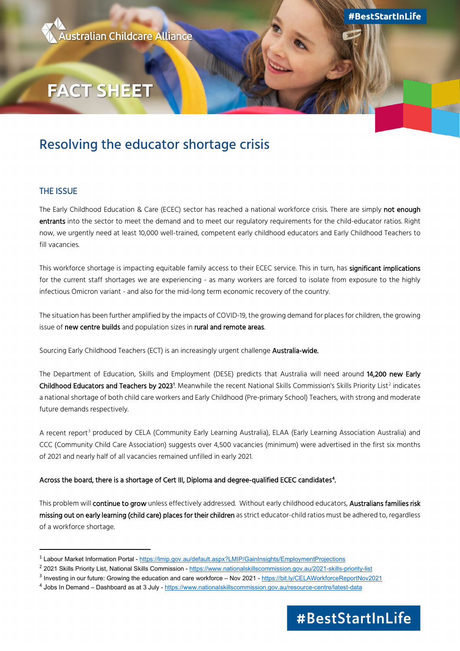

**#BestStartInLife** 

# **FACT SHEET**

# Resolving the educator shortage crisis

## THE ISSUE

The Early Childhood Education & Care (ECEC) sector has reached a national workforce crisis. There are simply not enough entrants into the sector to meet the demand and to meet our regulatory requirements for the child-educator ratios. Right now, we urgently need at least 10,000 well-trained, competent early childhood educators and Early Childhood Teachers to fill vacancies.

This workforce shortage is impacting equitable family access to their ECEC service. This in turn, has significant implications for the current staff shortages we are experiencing - as many workers are forced to isolate from exposure to the highly infectious Omicron variant - and also for the mid-long term economic recovery of the country.

The situation has been further amplified by the impacts of COVID-19, the growing demand for places for children, the growing issue of new centre builds and population sizes in rural and remote areas.

Sourcing Early Childhood Teachers (ECT) is an increasingly urgent challenge Australia-wide.

The Department of Education, Skills and Employment (DESE) predicts that Australia will need around 14,200 new Early **Childhood Educators and Teachers by [2](#page-0-1)023**[1](#page-0-0). Meanwhile the recent National Skills Commission's Skills Priority List<sup>2</sup> indicates a national shortage of both child care workers and Early Childhood (Pre-primary School) Teachers, with strong and moderate future demands respectively.

A recent report<sup>[3](#page-0-2)</sup> produced by CELA (Community Early Learning Australia), ELAA (Early Learning Association Australia) and CCC (Community Child Care Association) suggests over 4,500 vacancies (minimum) were advertised in the first six months of 2021 and nearly half of all vacancies remained unfilled in early 2021.

### Across the board, there is a shortage of Cert III, Diploma and degree-qualified ECEC candidates<sup>[4](#page-0-3)</sup>.

This problem will continue to grow unless effectively addressed. Without early childhood educators, Australians families risk missing out on early learning (child care) places for their children as strict educator-child ratios must be adhered to, regardless of a workforce shortage.

<span id="page-0-3"></span><sup>4</sup> Jobs In Demand – Dashboard as at 3 July - <https://www.nationalskillscommission.gov.au/resource-centre/latest-data>



<span id="page-0-0"></span><sup>1</sup> Labour Market Information Portal - https://lmip.gov.au/default.aspx?LMIP/GainInsights/EmploymentProjections

<span id="page-0-2"></span><span id="page-0-1"></span><sup>&</sup>lt;sup>2</sup>2021 Skills Priority List, National Skills Commission - https://www.nationalskillscommission.gov.au/2021-skills-priority-list<br><sup>3</sup> Investing in our future: Growing the education and care workforce – Nov 2021 - https://b